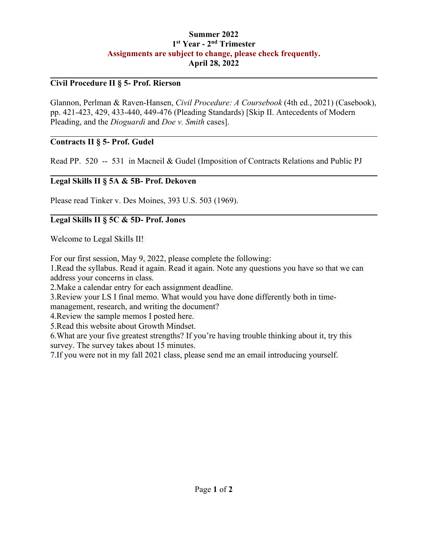#### **Summer 2022 1st Year - 2nd Trimester Assignments are subject to change, please check frequently. April 28, 2022**

## **Civil Procedure II § 5- Prof. Rierson**

Glannon, Perlman & Raven-Hansen, *Civil Procedure: A Coursebook* (4th ed., 2021) (Casebook), pp. 421-423, 429, 433-440, 449-476 (Pleading Standards) [Skip II. Antecedents of Modern Pleading, and the *Dioguardi* and *Doe v. Smith* cases].

#### **Contracts II § 5- Prof. Gudel**

Read PP. 520 -- 531 in Macneil & Gudel (Imposition of Contracts Relations and Public PJ

### **Legal Skills II § 5A & 5B- Prof. Dekoven**

Please read Tinker v. Des Moines, 393 U.S. 503 (1969).

### **Legal Skills II § 5C & 5D- Prof. Jones**

Welcome to Legal Skills II!

For our first session, May 9, 2022, please complete the following:

1.Read the syllabus. Read it again. Read it again. Note any questions you have so that we can address your concerns in class.

2.Make a calendar entry for each assignment deadline.

3.Review your LS I final memo. What would you have done differently both in timemanagement, research, and writing the document?

4.Review the sample memos I posted here.

5.Read this website about Growth Mindset.

6.What are your five greatest strengths? If you're having trouble thinking about it, try this survey. The survey takes about 15 minutes.

7.If you were not in my fall 2021 class, please send me an email introducing yourself.